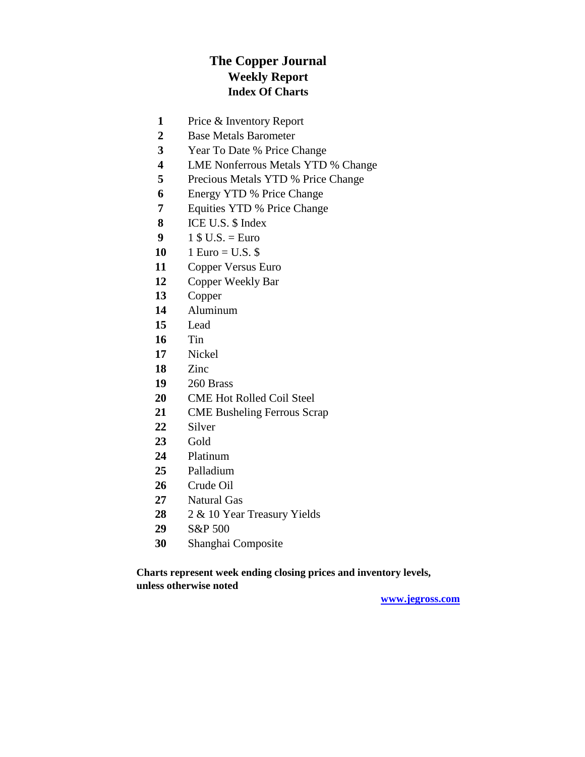## **The Copper Journal Weekly Report Index Of Charts**

- Price & Inventory Report
- Base Metals Barometer
- Year To Date % Price Change
- LME Nonferrous Metals YTD % Change
- Precious Metals YTD % Price Change
- Energy YTD % Price Change
- Equities YTD % Price Change
- ICE U.S. \$ Index
- 1 \$ U.S. = Euro
- 10 1 Euro = U.S.  $\$$
- Copper Versus Euro
- Copper Weekly Bar
- Copper
- Aluminum
- Lead
- Tin
- Nickel
- Zinc
- 260 Brass
- CME Hot Rolled Coil Steel
- CME Busheling Ferrous Scrap
- Silver
- Gold
- Platinum
- Palladium
- Crude Oil
- Natural Gas
- 2 & 10 Year Treasury Yields
- S&P 500
- Shanghai Composite

**Charts represent week ending closing prices and inventory levels, unless otherwise noted**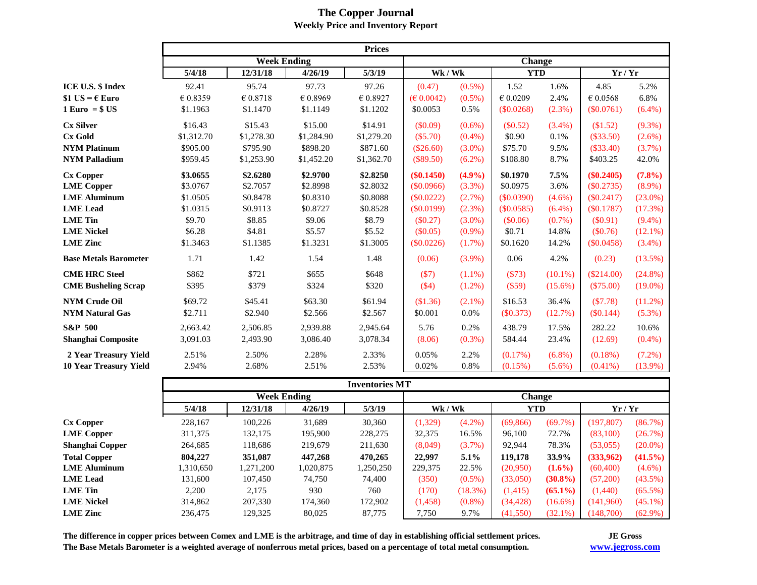|                                       | <b>Prices</b>      |                   |            |            |               |           |              |            |                   |            |
|---------------------------------------|--------------------|-------------------|------------|------------|---------------|-----------|--------------|------------|-------------------|------------|
|                                       | <b>Week Ending</b> |                   |            |            | <b>Change</b> |           |              |            |                   |            |
|                                       | 5/4/18             | 12/31/18          | 4/26/19    | 5/3/19     | Wk / Wk       |           | <b>YTD</b>   |            | Yr/Yr             |            |
| <b>ICE U.S. \$ Index</b>              | 92.41              | 95.74             | 97.73      | 97.26      | (0.47)        | $(0.5\%)$ | 1.52         | 1.6%       | 4.85              | 5.2%       |
| \$1 US = $\epsilon$ Euro              | € 0.8359           | $\epsilon$ 0.8718 | € 0.8969   | € 0.8927   | (E 0.0042)    | $(0.5\%)$ | $\in 0.0209$ | 2.4%       | $\epsilon$ 0.0568 | 6.8%       |
| $1 \,\mathrm{Euro} = $ \,\mathrm{US}$ | \$1.1963           | \$1.1470          | \$1.1149   | \$1.1202   | \$0.0053      | 0.5%      | (\$0.0268)   | (2.3%)     | (S0.0761)         | $(6.4\%)$  |
| <b>Cx Silver</b>                      | \$16.43            | \$15.43           | \$15.00    | \$14.91    | (\$0.09)      | $(0.6\%)$ | (\$0.52)     | $(3.4\%)$  | (\$1.52)          | $(9.3\%)$  |
| <b>Cx Gold</b>                        | \$1,312.70         | \$1,278.30        | \$1,284.90 | \$1,279.20 | (\$5.70)      | $(0.4\%)$ | \$0.90       | 0.1%       | $(\$33.50)$       | $(2.6\%)$  |
| <b>NYM Platinum</b>                   | \$905.00           | \$795.90          | \$898.20   | \$871.60   | $(\$26.60)$   | $(3.0\%)$ | \$75.70      | 9.5%       | $(\$33.40)$       | (3.7%)     |
| <b>NYM Palladium</b>                  | \$959.45           | \$1,253.90        | \$1,452.20 | \$1,362.70 | (\$89.50)     | $(6.2\%)$ | \$108.80     | 8.7%       | \$403.25          | 42.0%      |
| <b>Cx Copper</b>                      | \$3.0655           | \$2.6280          | \$2.9700   | \$2.8250   | $(\$0.1450)$  | (4.9%)    | \$0.1970     | 7.5%       | $(\$0.2405)$      | (7.8%)     |
| <b>LME</b> Copper                     | \$3,0767           | \$2.7057          | \$2.8998   | \$2.8032   | (\$0.0966)    | (3.3%)    | \$0.0975     | 3.6%       | $(\$0.2735)$      | $(8.9\%)$  |
| <b>LME Aluminum</b>                   | \$1.0505           | \$0.8478          | \$0.8310   | \$0.8088   | $(\$0.0222)$  | $(2.7\%)$ | (S0.0390)    | $(4.6\%)$  | (S0.2417)         | $(23.0\%)$ |
| <b>LME</b> Lead                       | \$1.0315           | \$0.9113          | \$0.8727   | \$0.8528   | (\$0.0199)    | $(2.3\%)$ | (\$0.0585)   | $(6.4\%)$  | (S0.1787)         | (17.3%)    |
| <b>LME</b> Tin                        | \$9.70             | \$8.85            | \$9.06     | \$8.79     | (\$0.27)      | $(3.0\%)$ | (\$0.06)     | $(0.7\%)$  | $(\$0.91)$        | $(9.4\%)$  |
| <b>LME Nickel</b>                     | \$6.28             | \$4.81            | \$5.57     | \$5.52     | (\$0.05)      | $(0.9\%)$ | \$0.71       | 14.8%      | (\$0.76)          | $(12.1\%)$ |
| <b>LME</b> Zinc                       | \$1.3463           | \$1.1385          | \$1.3231   | \$1.3005   | (\$0.0226)    | $(1.7\%)$ | \$0.1620     | 14.2%      | (\$0.0458)        | $(3.4\%)$  |
| <b>Base Metals Barometer</b>          | 1.71               | 1.42              | 1.54       | 1.48       | (0.06)        | $(3.9\%)$ | 0.06         | 4.2%       | (0.23)            | (13.5%)    |
| <b>CME HRC Steel</b>                  | \$862              | \$721             | \$655      | \$648      | (S7)          | $(1.1\%)$ | (\$73)       | $(10.1\%)$ | $(\$214.00)$      | $(24.8\%)$ |
| <b>CME Busheling Scrap</b>            | \$395              | \$379             | \$324      | \$320      | (\$4)         | $(1.2\%)$ | (\$59)       | $(15.6\%)$ | $(\$75.00)$       | $(19.0\%)$ |
| <b>NYM Crude Oil</b>                  | \$69.72            | \$45.41           | \$63.30    | \$61.94    | (\$1.36)      | $(2.1\%)$ | \$16.53      | 36.4%      | (S7.78)           | $(11.2\%)$ |
| <b>NYM Natural Gas</b>                | \$2.711            | \$2.940           | \$2.566    | \$2.567    | \$0.001       | 0.0%      | (\$0.373)    | (12.7%)    | $(\$0.144)$       | $(5.3\%)$  |
| <b>S&amp;P 500</b>                    | 2,663.42           | 2,506.85          | 2,939.88   | 2,945.64   | 5.76          | 0.2%      | 438.79       | 17.5%      | 282.22            | 10.6%      |
| <b>Shanghai Composite</b>             | 3,091.03           | 2,493.90          | 3,086.40   | 3,078.34   | (8.06)        | $(0.3\%)$ | 584.44       | 23.4%      | (12.69)           | $(0.4\%)$  |
| 2 Year Treasury Yield                 | 2.51%              | 2.50%             | 2.28%      | 2.33%      | 0.05%         | 2.2%      | $(0.17\%)$   | $(6.8\%)$  | $(0.18\%)$        | $(7.2\%)$  |
| <b>10 Year Treasury Yield</b>         | 2.94%              | 2.68%             | 2.51%      | 2.53%      | 0.02%         | 0.8%      | (0.15%)      | $(5.6\%)$  | $(0.41\%)$        | $(13.9\%)$ |

### **The Copper Journal Weekly Price and Inventory Report**

|                     |                    | <b>Inventories MT</b> |           |           |               |            |            |            |            |            |  |
|---------------------|--------------------|-----------------------|-----------|-----------|---------------|------------|------------|------------|------------|------------|--|
|                     | <b>Week Ending</b> |                       |           |           | <b>Change</b> |            |            |            |            |            |  |
|                     | 5/4/18             | 12/31/18              | 4/26/19   | 5/3/19    | Wk / Wk       |            | <b>YTD</b> |            | Yr/Yr      |            |  |
| <b>Cx Copper</b>    | 228,167            | 100,226               | 31,689    | 30,360    | (1,329)       | $(4.2\%)$  | (69, 866)  | (69.7%)    | (197, 807) | (86.7%)    |  |
| <b>LME</b> Copper   | 311,375            | 132,175               | 195,900   | 228,275   | 32,375        | 16.5%      | 96,100     | 72.7%      | (83,100)   | (26.7%)    |  |
| Shanghai Copper     | 264,685            | 118,686               | 219,679   | 211,630   | (8,049)       | $(3.7\%)$  | 92,944     | 78.3%      | (53,055)   | $(20.0\%)$ |  |
| <b>Total Copper</b> | 804,227            | 351,087               | 447.268   | 470,265   | 22,997        | $5.1\%$    | 119,178    | 33.9%      | (333,962)  | $(41.5\%)$ |  |
| <b>LME Aluminum</b> | 1,310,650          | 1,271,200             | 1,020,875 | 1,250,250 | 229,375       | 22.5%      | (20,950)   | $(1.6\%)$  | (60, 400)  | $(4.6\%)$  |  |
| <b>LME</b> Lead     | 131.600            | 107,450               | 74,750    | 74,400    | (350)         | $(0.5\%)$  | (33,050)   | $(30.8\%)$ | (57,200)   | $(43.5\%)$ |  |
| LME Tin             | 2.200              | 2,175                 | 930       | 760       | (170)         | $(18.3\%)$ | (1, 415)   | $(65.1\%)$ | (1,440)    | $(65.5\%)$ |  |
| <b>LME Nickel</b>   | 314,862            | 207,330               | 174,360   | 172,902   | (1, 458)      | $(0.8\%)$  | (34, 428)  | $(16.6\%)$ | (141,960)  | $(45.1\%)$ |  |
| <b>LME Zinc</b>     | 236,475            | 129,325               | 80,025    | 87,775    | 7,750         | 9.7%       | (41,550)   | $(32.1\%)$ | (148,700)  | $(62.9\%)$ |  |

**The difference in copper prices between Comex and LME is the arbitrage, and time of day in establishing official settlement prices. The Base Metals Barometer is a weighted average of nonferrous metal prices, based on a percentage of total metal consumption.** 

**JE Gross [www.jegr](http://www.jegross.com/)oss.com**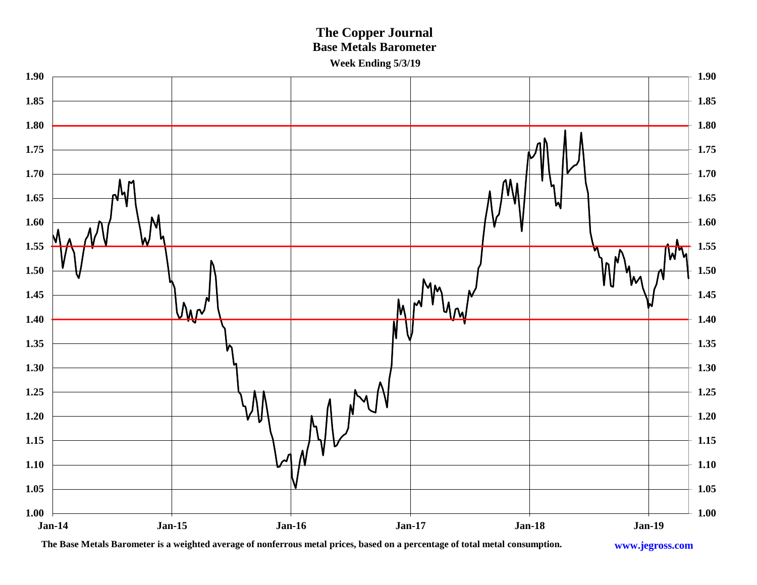## **The Copper Journal Base Metals Barometer Week Ending 5/3/19**



**The Base Metals Barometer is a weighted average of nonferrous metal prices, based on a percentage of total metal consumption.**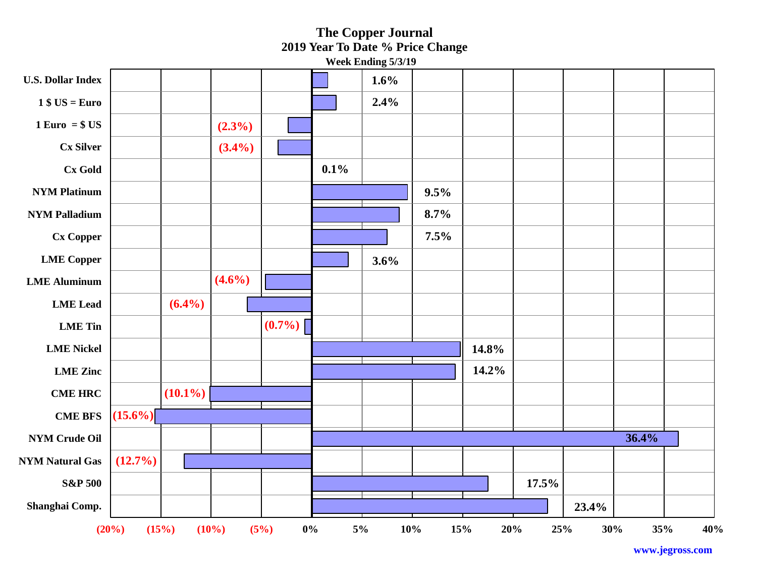#### **23.4% 17.5% (12.7%) 36.4%**   $(15.6\%)$ **(10.1%) 14.2% 14.8%**   $(0.7\%)$ **(6.4%) (4.6%) 3.6% 7.5% 8.7% 9.5% 0.1% (3.4%) (2.3%) 2.4% 1.6% (20%) (15%) (10%) (5%) 0% 5% 10% 15% 20% 25% 30% 35% 40% Shanghai Comp. S&P 500 NYM Natural Gas NYM Crude Oil CME BFS CME HRC LME Zinc LME Nickel LME Tin LME Lead LME Aluminum LME Copper Cx Copper NYM Palladium NYM Platinum Cx Gold Cx Silver 1 Euro = \$ US 1 \$ US = Euro U.S. Dollar Index The Copper Journal 2019 Year To Date % Price Change Week Ending 5/3/19**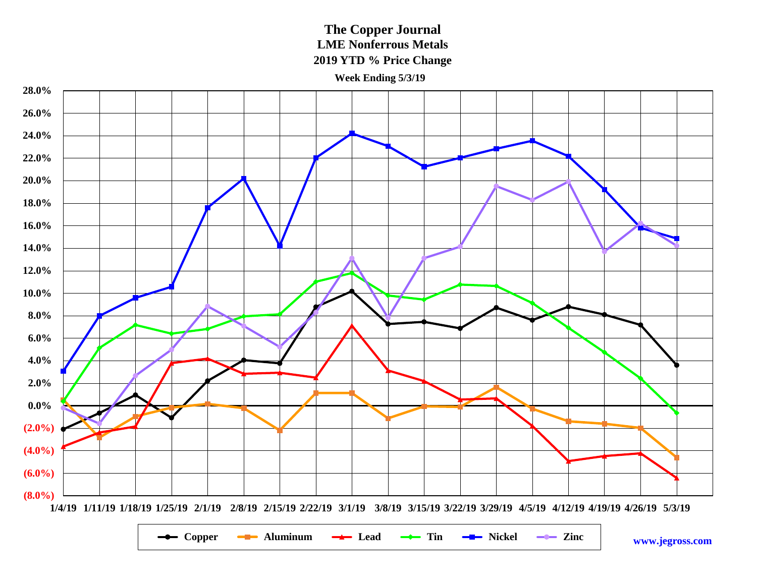**The Copper Journal LME Nonferrous Metals 2019 YTD % Price Change**

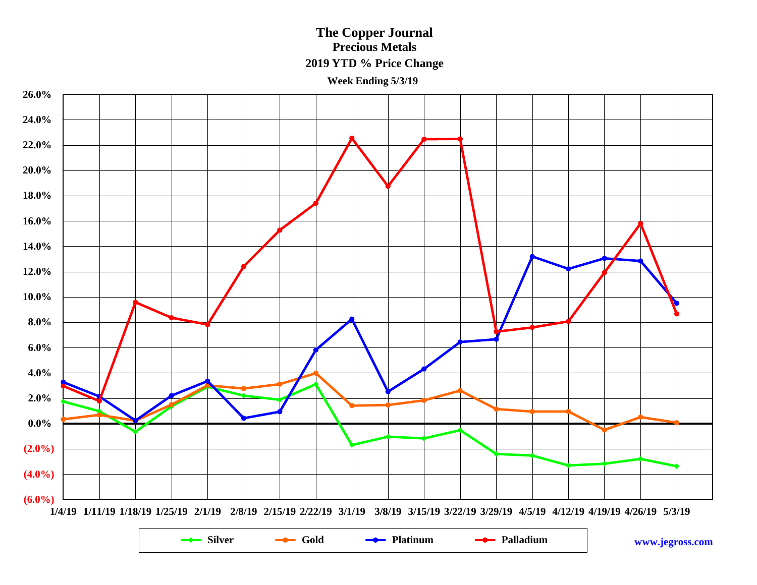## **The Copper Journal Precious Metals 2019 YTD % Price Change**

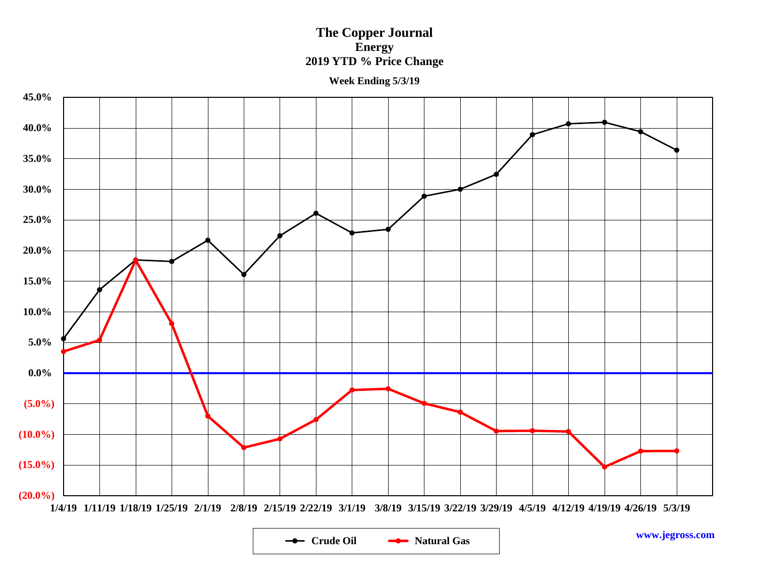### **The Copper Journal Energy 2019 YTD % Price Change**



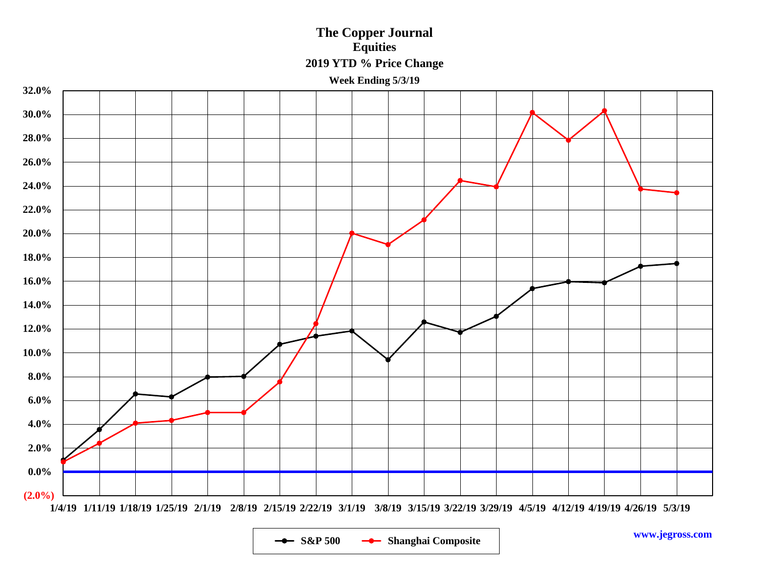## **The Copper Journal Equities 2019 YTD % Price Change**



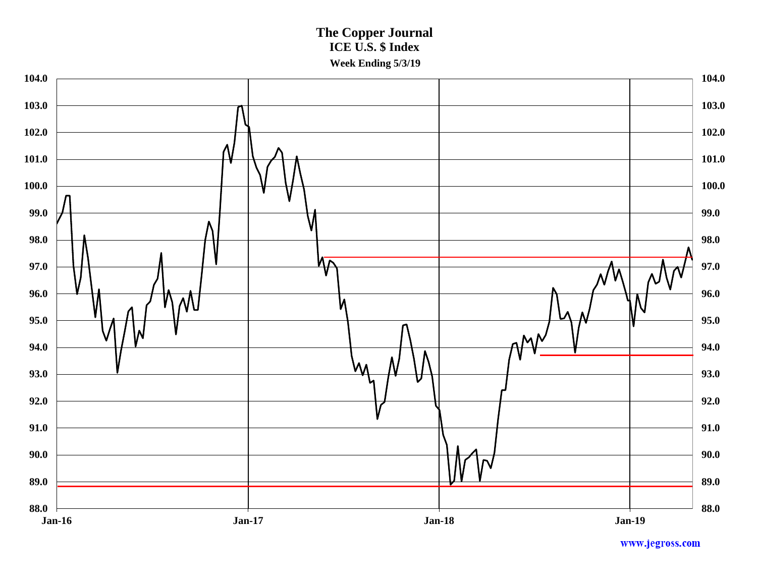**The Copper Journal ICE U.S. \$ Index Week Ending 5/3/19**

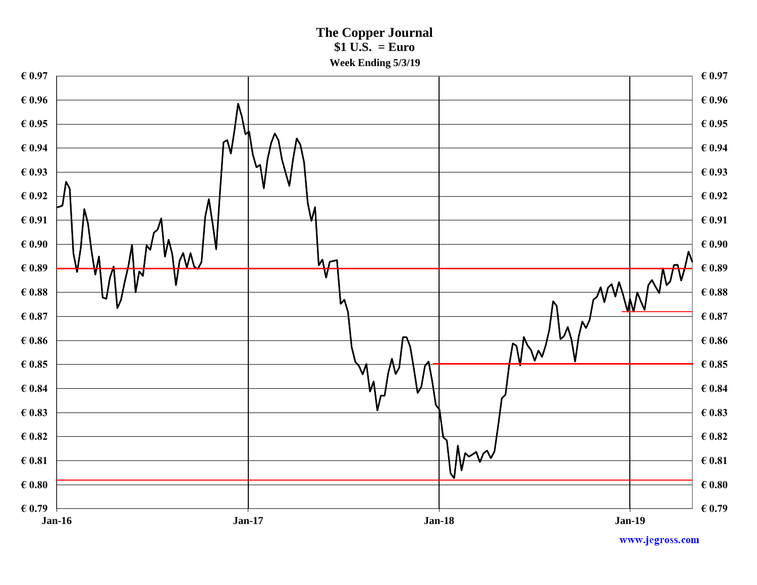**The Copper Journal \$1 U.S. = Euro Week Ending 5/3/19**

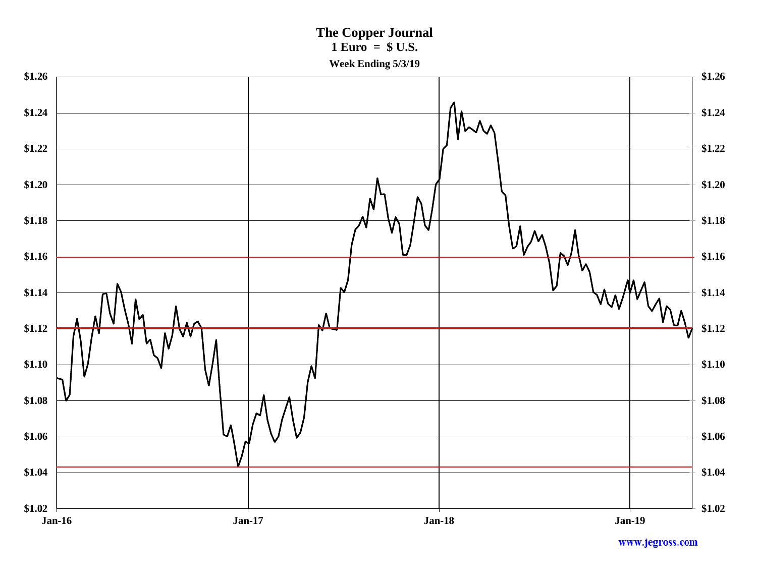**The Copper Journal 1 Euro = \$ U.S. Week Ending 5/3/19**

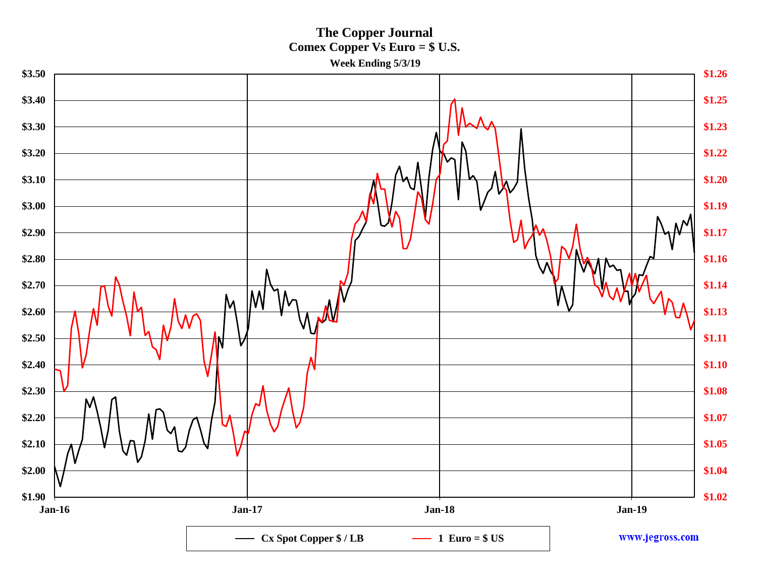**The Copper Journal Comex Copper Vs Euro = \$ U.S. Week Ending 5/3/19**

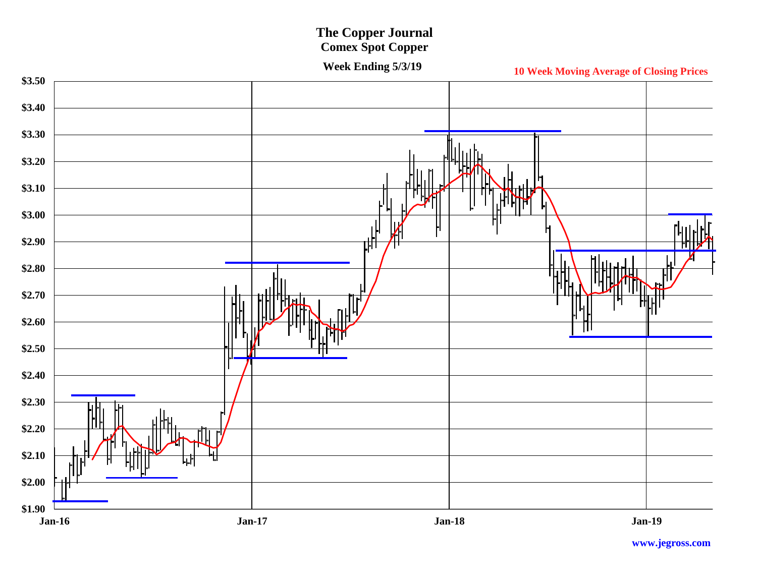# **The Copper Journal**

**Comex Spot Copper**

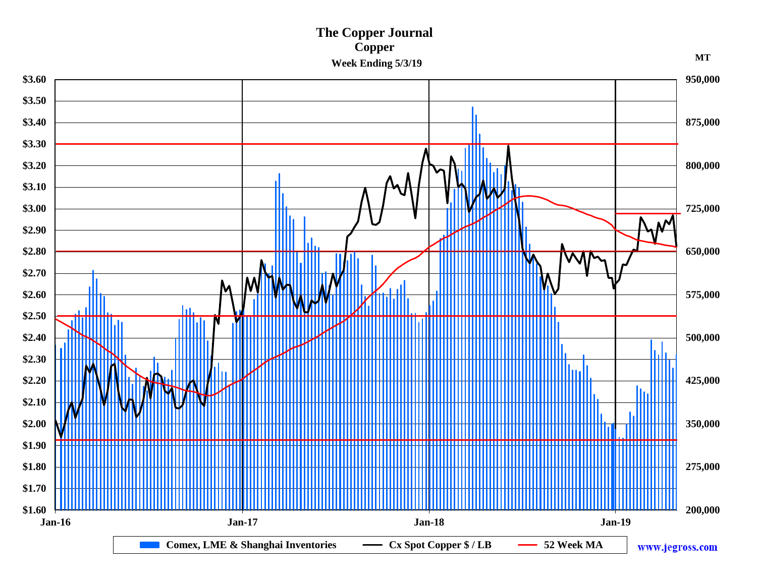### **The Copper Journal Copper** Week Ending 5/3/19

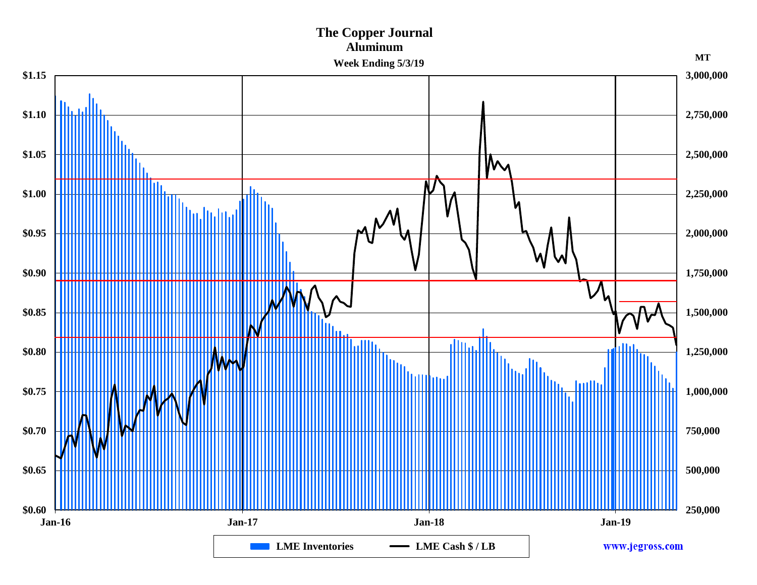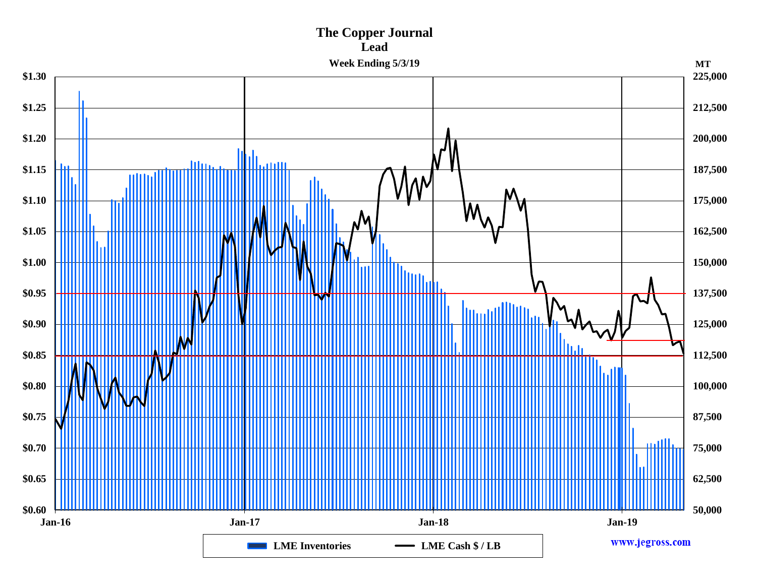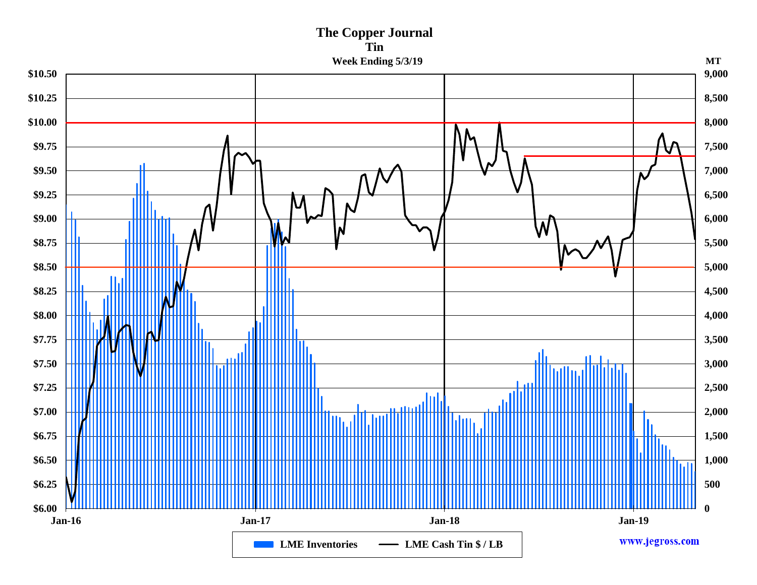# **The Copper Journal Tin**

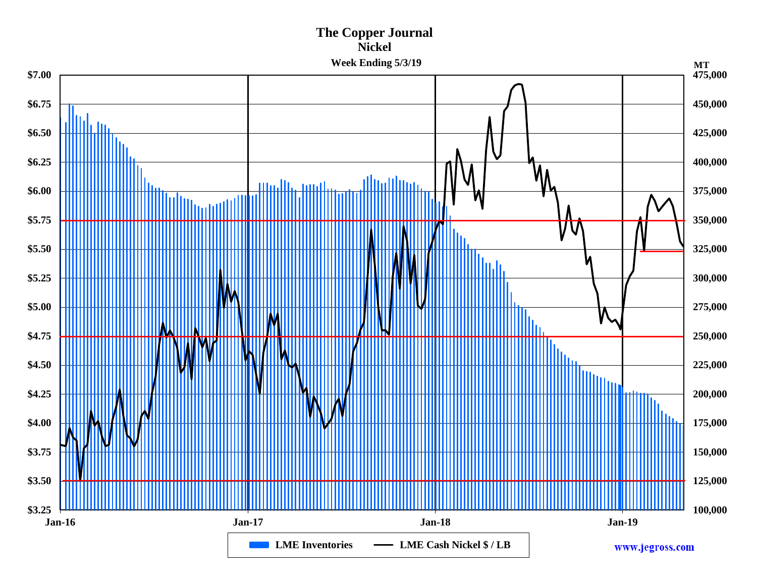### **Nickel Week Ending 5/3/19 475,000 \$7.00 \$6.75 450,000** IIII II **\$6.50 425,000 \$6.25 400,000 Albullion** modlic mult **\$6.00 375,000 \$5.75 350,000 \$5.50 325,000 \$5.25 300,000 \$5.00 275,000 \$4.75 250,000 \$4.50 225,000 \$4.25 200,000 \$4.00 175,000 \$3.75** г **150,000 \$3.50 125,000 \$3.25 100,000 Jan-16 Jan-17 Jan-18 Jan-19 LME Inventories – LME Cash Nickel \$/LB** www.jegross.com

**The Copper Journal**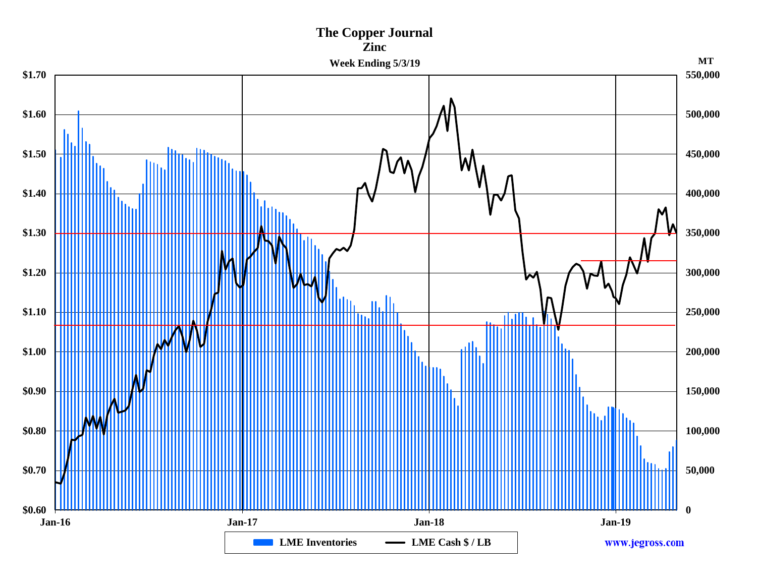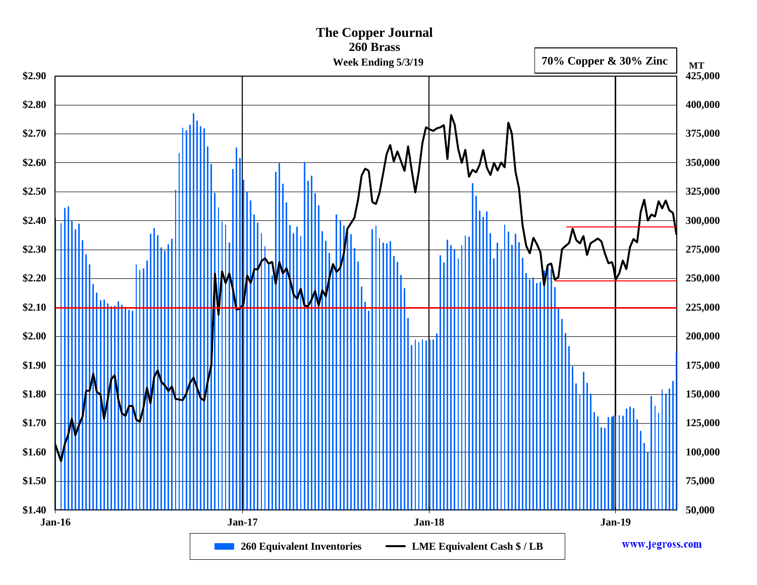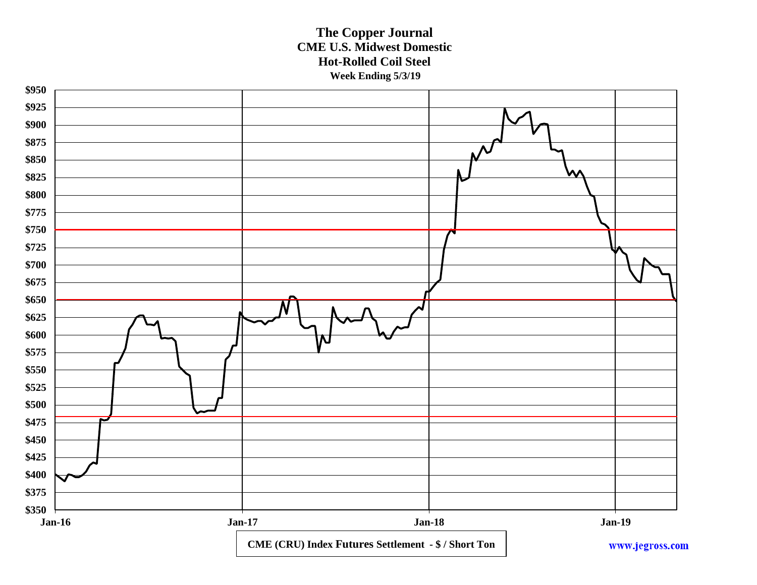### **The Copper Journal CME U.S. Midwest Domestic Hot-Rolled Coil Steel Week Ending 5/3/19**

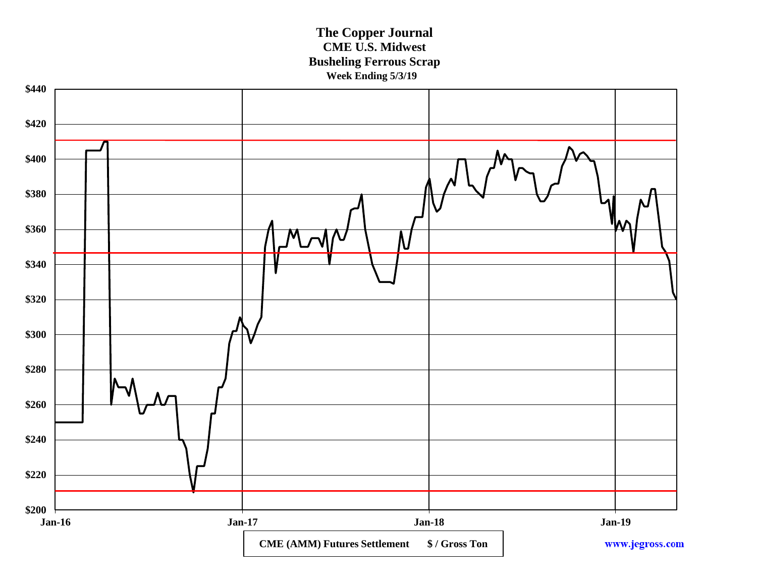**The Copper Journal CME U.S. Midwest Busheling Ferrous Scrap Week Ending 5/3/19**

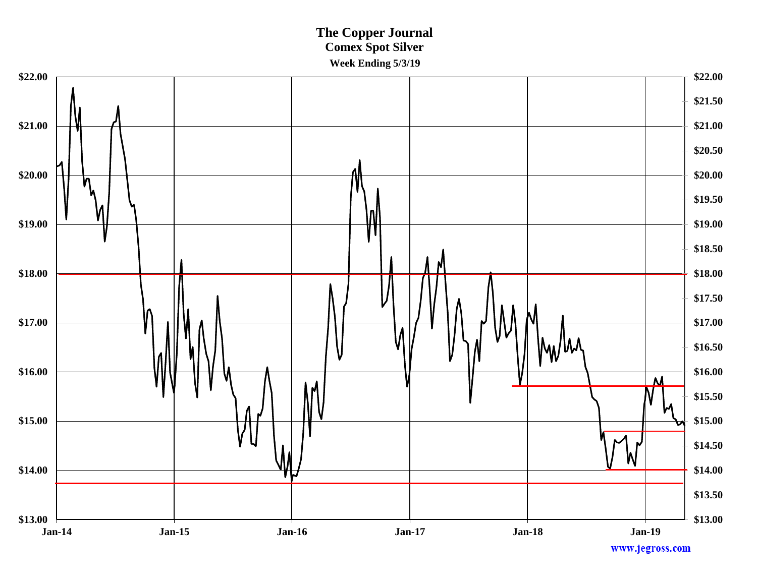## **The Copper Journal Comex Spot Silver Week Ending 5/3/19**

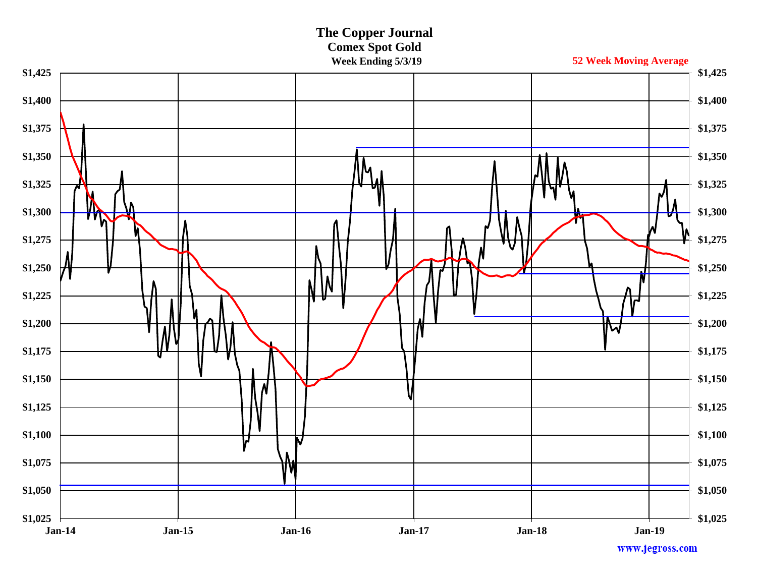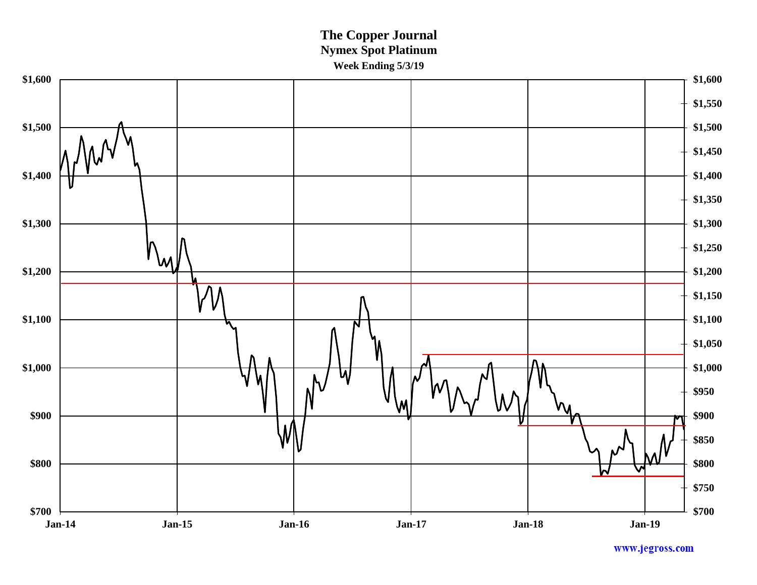**The Copper Journal Nymex Spot Platinum Week Ending 5/3/19**

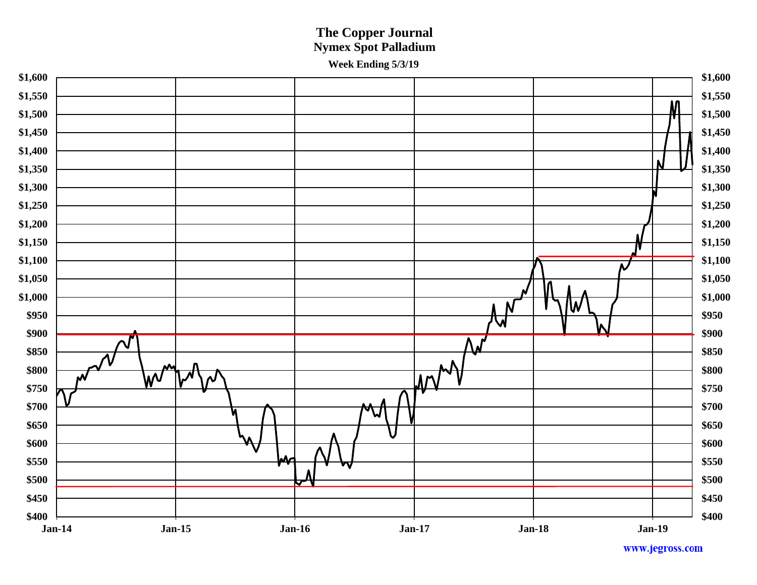## **The Copper Journal Nymex Spot Palladium Week Ending 5/3/19**

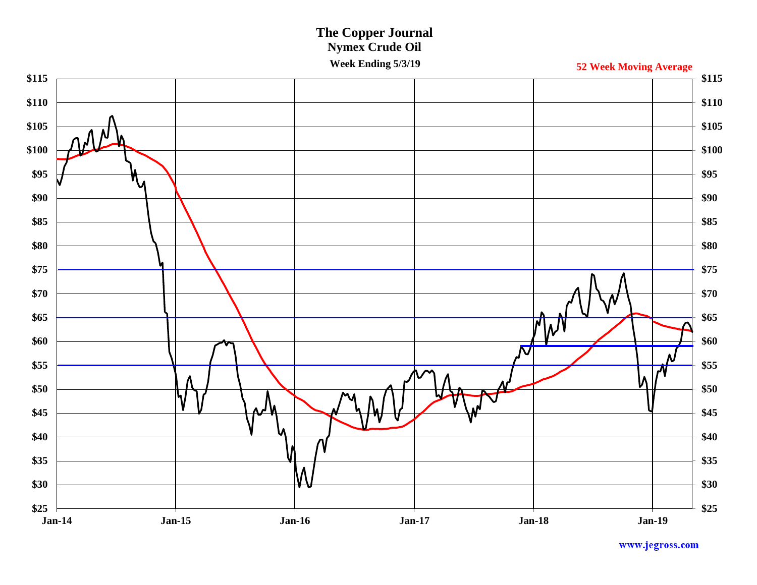# **The Copper Journal Nymex Crude Oil**

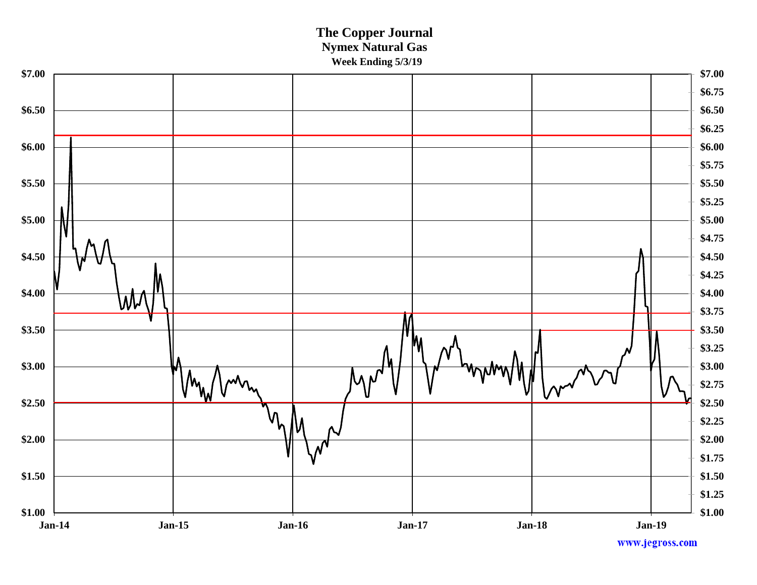### **The Copper Journal Nymex Natural Gas Week Ending 5/3/19**

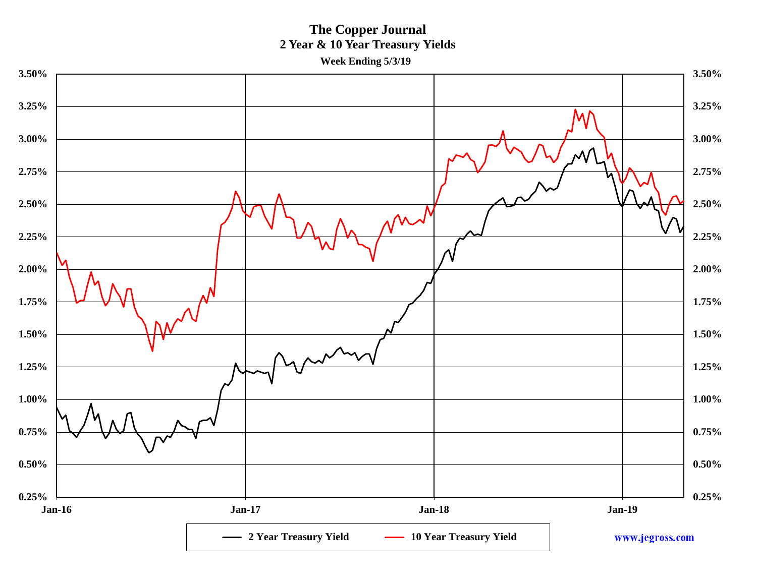**The Copper Journal 2 Year & 10 Year Treasury Yields Week Ending 5/3/19**

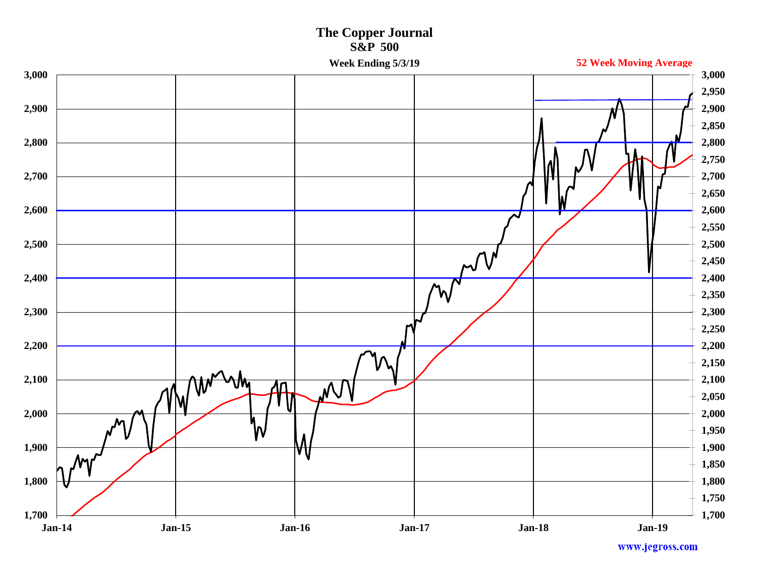